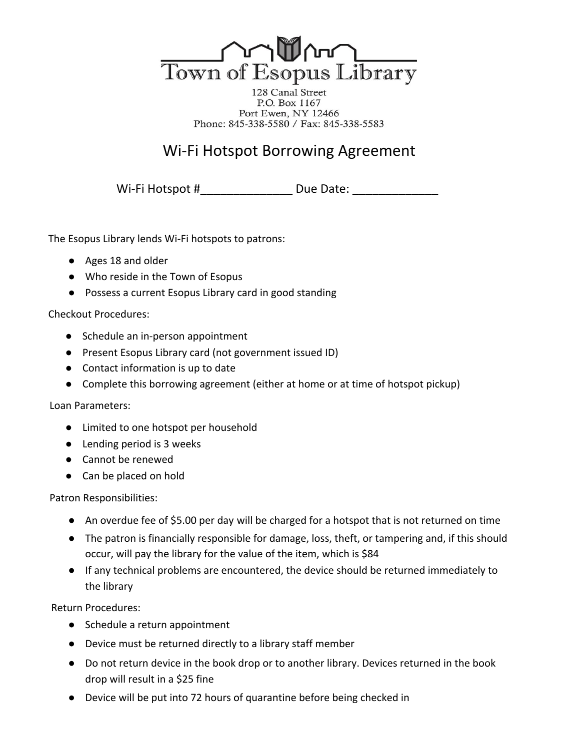

128 Canal Street P.O. Box 1167 Port Ewen, NY 12466 Phone: 845-338-5580 / Fax: 845-338-5583

# Wi-Fi Hotspot Borrowing Agreement

Wi-Fi Hotspot #\_\_\_\_\_\_\_\_\_\_\_\_\_\_ Due Date: \_\_\_\_\_\_\_\_\_\_\_\_\_

The Esopus Library lends Wi-Fi hotspots to patrons:

- Ages 18 and older
- Who reside in the Town of Esopus
- Possess a current Esopus Library card in good standing

## Checkout Procedures:

- Schedule an in-person appointment
- Present Esopus Library card (not government issued ID)
- Contact information is up to date
- Complete this borrowing agreement (either at home or at time of hotspot pickup)

## Loan Parameters:

- Limited to one hotspot per household
- Lending period is 3 weeks
- Cannot be renewed
- Can be placed on hold

Patron Responsibilities:

- An overdue fee of \$5.00 per day will be charged for a hotspot that is not returned on time
- The patron is financially responsible for damage, loss, theft, or tampering and, if this should occur, will pay the library for the value of the item, which is \$84
- If any technical problems are encountered, the device should be returned immediately to the library

Return Procedures:

- Schedule a return appointment
- Device must be returned directly to a library staff member
- Do not return device in the book drop or to another library. Devices returned in the book drop will result in a \$25 fine
- Device will be put into 72 hours of quarantine before being checked in